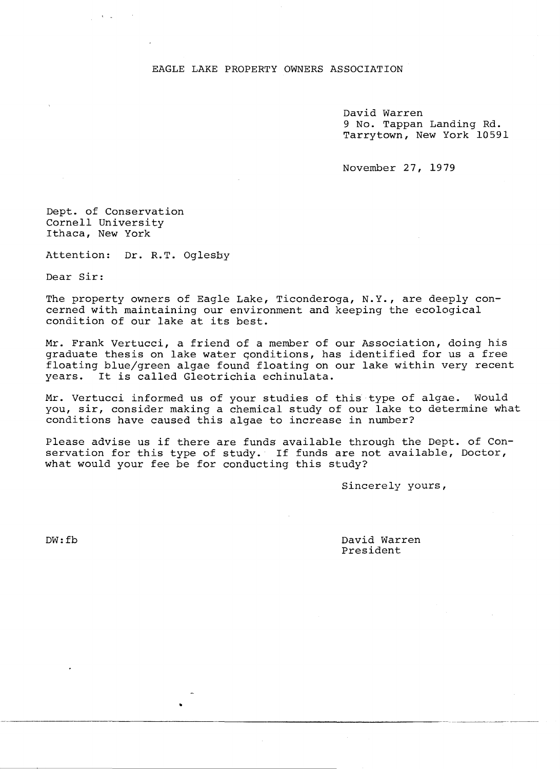## EAGLE LAKE PROPERTY OWNERS ASSOCIATION

David Warren 9 No. Tappan Landing Rd. Tarrytown, New York 10591

November 27, 1979

Dept. of Conservation Cornell University Ithaca, New York

Attention: Dr. R.T. Oglesby

Dear Sir:

The property owners of Eagle Lake, Ticonderoga, N.Y., are deeply concerned with maintaining our environment and keeping the ecological condition of our lake at its best.

Mr. Frank Vertucci, a friend of a member of our Association, doing his graduate thesis on lake water qonditions, has identified for us a free floating blue/green algae found floating on our lake within very recent years. It is called Gleotrichia echinulata.

Mr. Vertucci informed us of your studies of this type of algae. Would you, sir, consider making a chemical study of our lake to determine what conditions have caused this algae to increase in number?

Please advise us if there are funds available through the Dept. of Conservation for this type of study. If funds are not available, Doctor, what would your fee be for conducting this study?

Sincerely yours,

--- ~~~~-- ---

DW:fb

David Warren President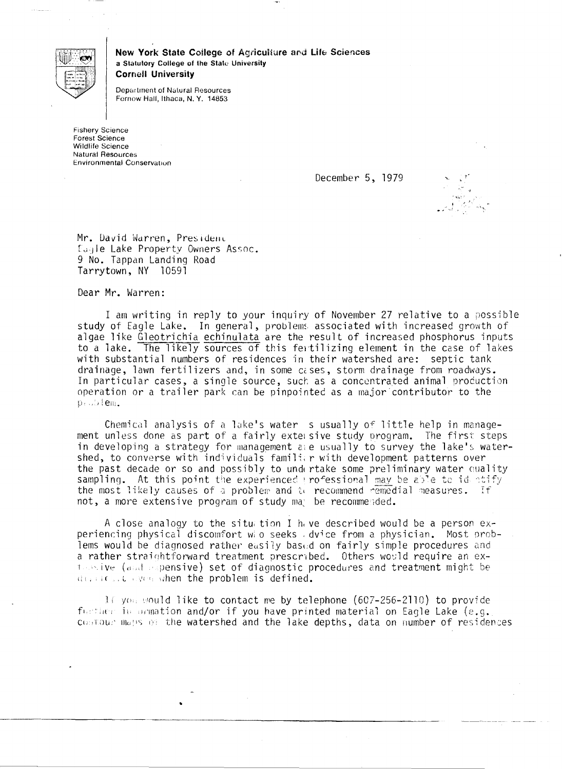

New York State College of Agriculture and Life Sciences a Statutory College of the State University **Cornell University** 

Department of Natural Resources Fernow Hall, Ithaca, N.Y. 14853

**Fishery Science** Forest Science Wildlife Science **Natural Resources Environmental Conservation** 

December 5, 1979



Mr. David Warren, Presidenc Eagle Lake Property Owners Assoc. 9 No. Tappan Landing Road Tarrytown, NY 10591

Dear Mr. Warren:

I am writing in reply to your inquiry of November 27 relative to a possible study of Eagle Lake. In general, problems associated with increased growth of algae like Gleotrichia echinulata are the result of increased phosphorus inputs to a lake. The likely sources of this fertilizing element in the case of lakes with substantial numbers of residences in their watershed are: septic tank drainage, lawn fertilizers and, in some cases, storm drainage from roadways. In particular cases, a single source, such as a concentrated animal production operation or a trailer park can be pinpointed as a major contributor to the  $p_1$ .  $p_2$  (em.

Chemical analysis of a lake's water s usually of little help in management unless done as part of a fairly extersive study program. The first steps in developing a strategy for management are usually to survey the lake's watershed, to converse with individuals familiar with development patterns over the past decade or so and possibly to undertake some preliminary water quality sampling. At this point the experienced rofessional may be able to identify the most likely causes of a problem and to recommend remedial measures. If not, a more extensive program of study may be recommended.

A close analogy to the situation I have described would be a person experiencing physical discomfort who seeks dvice from a physician. Most problems would be diagnosed rather easily based on fairly simple procedures and a rather straightforward treatment prescribed. Others would require an exthan ive (and expensive) set of diagnostic procedures and treatment might be divided. We when the problem is defined.

If you would like to contact me by telephone (607-256-2110) to provide further in ormation and/or if you have printed material on Eagle Lake (e.g. costour maps of the watershed and the lake depths, data on number of residences